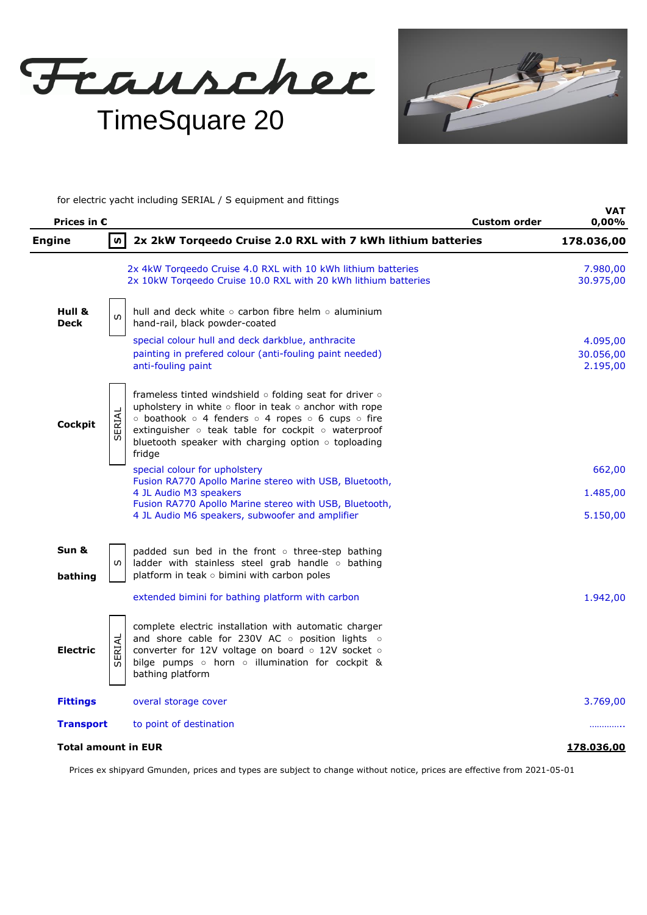Frauscher TimeSquare 20

**VAT**

for electric yacht including SERIAL / S equipment and fittings

| Prices in $\epsilon$  |        |                                                                                                                                                                                                                                                                                                                | <b>Custom order</b> | VAI<br>0,00%                      |
|-----------------------|--------|----------------------------------------------------------------------------------------------------------------------------------------------------------------------------------------------------------------------------------------------------------------------------------------------------------------|---------------------|-----------------------------------|
| <b>Engine</b>         | S.     | 2x 2kW Torqeedo Cruise 2.0 RXL with 7 kWh lithium batteries                                                                                                                                                                                                                                                    |                     | 178.036,00                        |
|                       |        | 2x 4kW Torqeedo Cruise 4.0 RXL with 10 kWh lithium batteries<br>2x 10kW Torqeedo Cruise 10.0 RXL with 20 kWh lithium batteries                                                                                                                                                                                 |                     | 7.980,00<br>30.975,00             |
| Hull &<br><b>Deck</b> | w      | hull and deck white $\circ$ carbon fibre helm $\circ$ aluminium<br>hand-rail, black powder-coated                                                                                                                                                                                                              |                     |                                   |
|                       |        | special colour hull and deck darkblue, anthracite<br>painting in prefered colour (anti-fouling paint needed)<br>anti-fouling paint                                                                                                                                                                             |                     | 4.095,00<br>30.056,00<br>2.195,00 |
| <b>Cockpit</b>        | SERIAL | frameless tinted windshield $\circ$ folding seat for driver $\circ$<br>upholstery in white o floor in teak o anchor with rope<br>⊙ boathook o 4 fenders o 4 ropes o 6 cups o fire<br>extinguisher o teak table for cockpit o waterproof<br>bluetooth speaker with charging option $\circ$ toploading<br>fridge |                     |                                   |
|                       |        | special colour for upholstery<br>Fusion RA770 Apollo Marine stereo with USB, Bluetooth,                                                                                                                                                                                                                        |                     | 662,00                            |
|                       |        | 4 JL Audio M3 speakers<br>Fusion RA770 Apollo Marine stereo with USB, Bluetooth,                                                                                                                                                                                                                               |                     | 1.485,00                          |
|                       |        | 4 JL Audio M6 speakers, subwoofer and amplifier                                                                                                                                                                                                                                                                |                     | 5.150,00                          |
| Sun &<br>bathing      | S.     | padded sun bed in the front o three-step bathing<br>ladder with stainless steel grab handle o bathing<br>platform in teak o bimini with carbon poles                                                                                                                                                           |                     |                                   |
|                       |        | extended bimini for bathing platform with carbon                                                                                                                                                                                                                                                               |                     | 1.942,00                          |
| <b>Electric</b>       | SERIAL | complete electric installation with automatic charger<br>and shore cable for 230V AC o position lights o<br>converter for 12V voltage on board o 12V socket o<br>bilge pumps o horn o illumination for cockpit &<br>bathing platform                                                                           |                     |                                   |
| <b>Fittings</b>       |        | overal storage cover                                                                                                                                                                                                                                                                                           |                     | 3.769,00                          |
| <b>Transport</b>      |        | to point of destination                                                                                                                                                                                                                                                                                        |                     | .                                 |
| Total amount in EUR   |        |                                                                                                                                                                                                                                                                                                                |                     | 178.036,00                        |

Prices ex shipyard Gmunden, prices and types are subject to change without notice, prices are effective from 2021-05-01